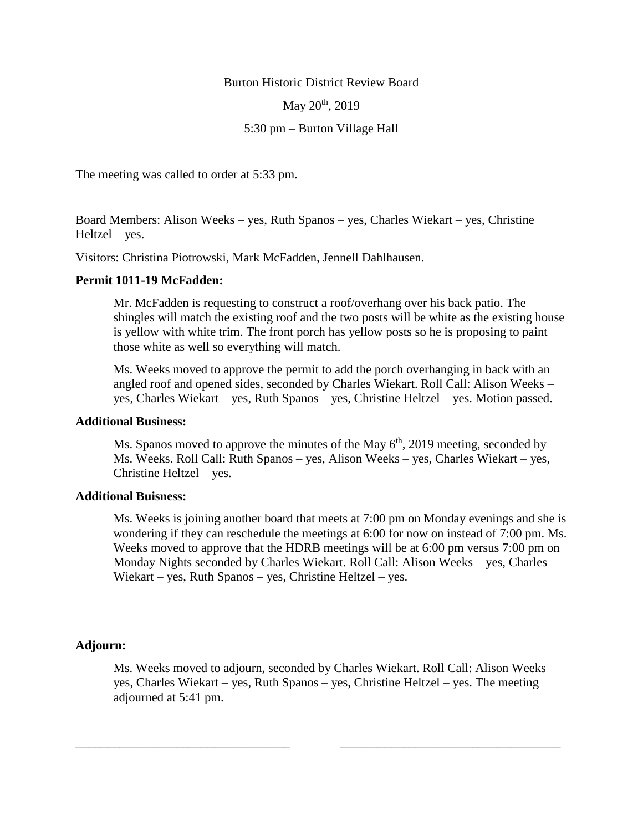Burton Historic District Review Board

May 20<sup>th</sup>, 2019

5:30 pm – Burton Village Hall

The meeting was called to order at 5:33 pm.

Board Members: Alison Weeks – yes, Ruth Spanos – yes, Charles Wiekart – yes, Christine Heltzel – yes.

Visitors: Christina Piotrowski, Mark McFadden, Jennell Dahlhausen.

## **Permit 1011-19 McFadden:**

Mr. McFadden is requesting to construct a roof/overhang over his back patio. The shingles will match the existing roof and the two posts will be white as the existing house is yellow with white trim. The front porch has yellow posts so he is proposing to paint those white as well so everything will match.

Ms. Weeks moved to approve the permit to add the porch overhanging in back with an angled roof and opened sides, seconded by Charles Wiekart. Roll Call: Alison Weeks – yes, Charles Wiekart – yes, Ruth Spanos – yes, Christine Heltzel – yes. Motion passed.

## **Additional Business:**

Ms. Spanos moved to approve the minutes of the May  $6<sup>th</sup>$ , 2019 meeting, seconded by Ms. Weeks. Roll Call: Ruth Spanos – yes, Alison Weeks – yes, Charles Wiekart – yes, Christine Heltzel – yes.

## **Additional Buisness:**

Ms. Weeks is joining another board that meets at 7:00 pm on Monday evenings and she is wondering if they can reschedule the meetings at 6:00 for now on instead of 7:00 pm. Ms. Weeks moved to approve that the HDRB meetings will be at 6:00 pm versus 7:00 pm on Monday Nights seconded by Charles Wiekart. Roll Call: Alison Weeks – yes, Charles Wiekart – yes, Ruth Spanos – yes, Christine Heltzel – yes.

## **Adjourn:**

Ms. Weeks moved to adjourn, seconded by Charles Wiekart. Roll Call: Alison Weeks – yes, Charles Wiekart – yes, Ruth Spanos – yes, Christine Heltzel – yes. The meeting adjourned at 5:41 pm.

\_\_\_\_\_\_\_\_\_\_\_\_\_\_\_\_\_\_\_\_\_\_\_\_\_\_\_\_\_\_\_\_\_\_ \_\_\_\_\_\_\_\_\_\_\_\_\_\_\_\_\_\_\_\_\_\_\_\_\_\_\_\_\_\_\_\_\_\_\_